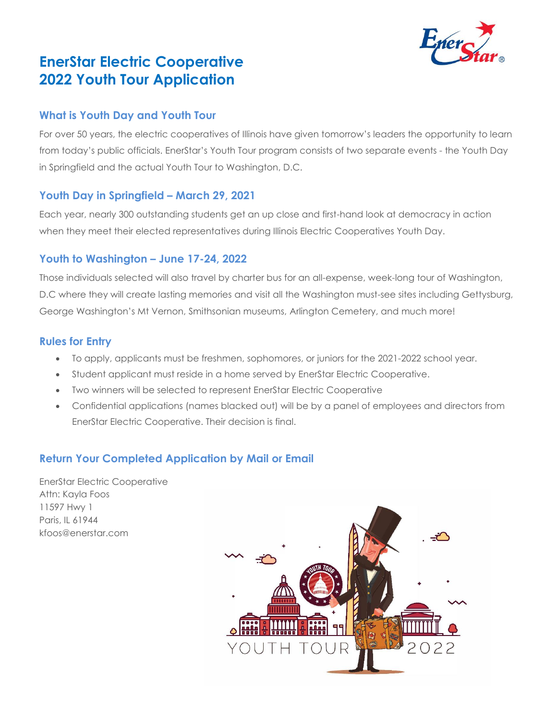# **EnerStar Electric Cooperative 2022 Youth Tour Application**

### **What is Youth Day and Youth Tour**

For over 50 years, the electric cooperatives of Illinois have given tomorrow's leaders the opportunity to learn from today's public officials. EnerStar's Youth Tour program consists of two separate events - the Youth Day in Springfield and the actual Youth Tour to Washington, D.C.

### **Youth Day in Springfield – March 29, 2021**

Each year, nearly 300 outstanding students get an up close and first-hand look at democracy in action when they meet their elected representatives during Illinois Electric Cooperatives Youth Day.

### **Youth to Washington – June 17-24, 2022**

Those individuals selected will also travel by charter bus for an all-expense, week-long tour of Washington, D.C where they will create lasting memories and visit all the Washington must-see sites including Gettysburg, George Washington's Mt Vernon, Smithsonian museums, Arlington Cemetery, and much more!

### **Rules for Entry**

- To apply, applicants must be freshmen, sophomores, or juniors for the 2021-2022 school year.
- Student applicant must reside in a home served by EnerStar Electric Cooperative.
- Two winners will be selected to represent EnerStar Electric Cooperative
- Confidential applications (names blacked out) will be by a panel of employees and directors from EnerStar Electric Cooperative. Their decision is final.

# **Return Your Completed Application by Mail or Email**

EnerStar Electric Cooperative Attn: Kayla Foos 11597 Hwy 1 Paris, IL 61944 kfoos@enerstar.com